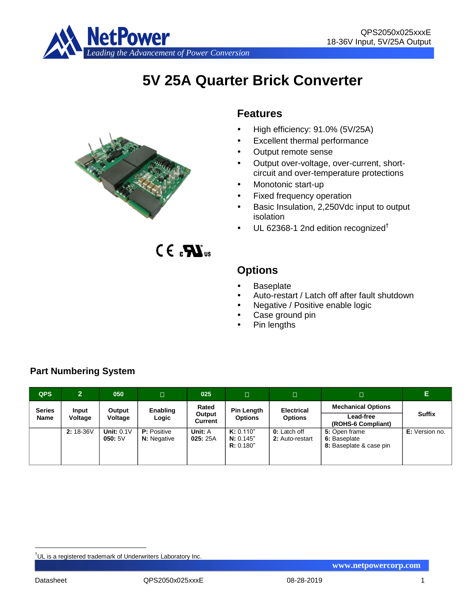

# **5V 25A Quarter Brick Converter**



 $CE_{\alpha}$  $\mathbf{M}_{\text{us}}$ 

# **Features**

- High efficiency: 91.0% (5V/25A)
- Excellent thermal performance
- Output remote sense
- Output over-voltage, over-current, shortcircuit and over-temperature protections
- Monotonic start-up
- Fixed frequency operation
- Basic Insulation, 2,250Vdc input to output isolation
- $\cdot$  UL 62368-1 2nd edition recognized<sup>†</sup>



- Baseplate
- Auto-restart / Latch off after fault shutdown
- Negative / Positive enable logic
- Case ground pin
- Pin lengths

| <b>QPS</b>    | $\overline{2}$ | 050                    | $\Box$                                   | 025                      | /O                                  | $\Box$                                 | о                                                        | Е                               |                           |  |  |
|---------------|----------------|------------------------|------------------------------------------|--------------------------|-------------------------------------|----------------------------------------|----------------------------------------------------------|---------------------------------|---------------------------|--|--|
| <b>Series</b> | Input          | Output                 | Enabling                                 | Rated                    |                                     |                                        | <b>Pin Length</b><br><b>Options</b>                      | <b>Electrical</b>               | <b>Mechanical Options</b> |  |  |
| <b>Name</b>   | Voltage        | Voltage                | Logic                                    | Output<br><b>Current</b> |                                     | <b>Options</b>                         |                                                          | Lead-free<br>(ROHS-6 Compliant) | <b>Suffix</b>             |  |  |
|               | 2: 18-36V      | Unit: $0.1V$<br>050:5V | <b>P:</b> Positive<br><b>N:</b> Negative | Unit: A<br>025:25A       | K: 0.110"<br>N: 0.145"<br>R: 0.180" | <b>0:</b> Latch off<br>2: Auto-restart | 5: Open frame<br>6: Baseplate<br>8: Baseplate & case pin | E: Version no.                  |                           |  |  |

# **Part Numbering System**

<u>.</u>

<sup>†</sup>UL is a registered trademark of Underwriters Laboratory Inc.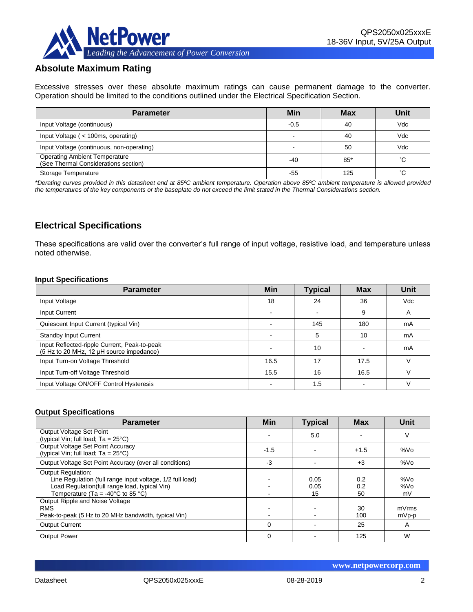

# **Absolute Maximum Rating**

Excessive stresses over these absolute maximum ratings can cause permanent damage to the converter. Operation should be limited to the conditions outlined under the Electrical Specification Section.

| <b>Parameter</b>                                                             | Min    | <b>Max</b> | Unit |
|------------------------------------------------------------------------------|--------|------------|------|
| Input Voltage (continuous)                                                   | $-0.5$ | 40         | Vdc  |
| Input Voltage (< 100ms, operating)                                           |        | 40         | Vdc  |
| Input Voltage (continuous, non-operating)                                    |        | 50         | Vdc  |
| <b>Operating Ambient Temperature</b><br>(See Thermal Considerations section) | $-40$  | $85*$      | °С   |
| Storage Temperature                                                          | -55    | 125        | °С   |

*\*Derating curves provided in this datasheet end at 85ºC ambient temperature. Operation above 85ºC ambient temperature is allowed provided the temperatures of the key components or the baseplate do not exceed the limit stated in the Thermal Considerations section.*

# **Electrical Specifications**

These specifications are valid over the converter's full range of input voltage, resistive load, and temperature unless noted otherwise.

#### **Input Specifications**

| <b>Parameter</b>                                                                         | <b>Min</b> | <b>Typical</b> | <b>Max</b> | Unit       |
|------------------------------------------------------------------------------------------|------------|----------------|------------|------------|
| Input Voltage                                                                            | 18         | 24             | 36         | <b>Vdc</b> |
| Input Current                                                                            |            |                | 9          | A          |
| Quiescent Input Current (typical Vin)                                                    |            | 145            | 180        | mA         |
| <b>Standby Input Current</b>                                                             |            | 5              | 10         | mA         |
| Input Reflected-ripple Current, Peak-to-peak<br>(5 Hz to 20 MHz, 12 µH source impedance) |            | 10             |            | mA         |
| Input Turn-on Voltage Threshold                                                          | 16.5       | 17             | 17.5       |            |
| Input Turn-off Voltage Threshold                                                         | 15.5       | 16             | 16.5       |            |
| Input Voltage ON/OFF Control Hysteresis                                                  |            | 1.5            |            |            |

#### **Output Specifications**

| <b>Parameter</b>                                                                                                                                                                                  | Min      | <b>Typical</b>     | <b>Max</b>       | Unit             |
|---------------------------------------------------------------------------------------------------------------------------------------------------------------------------------------------------|----------|--------------------|------------------|------------------|
| Output Voltage Set Point<br>(typical Vin; full load; $Ta = 25^{\circ}C$ )                                                                                                                         |          | 5.0                |                  | V                |
| Output Voltage Set Point Accuracy<br>(typical Vin; full load; $Ta = 25^{\circ}C$ )                                                                                                                | $-1.5$   |                    | $+1.5$           | %Vo              |
| Output Voltage Set Point Accuracy (over all conditions)                                                                                                                                           | -3       |                    | $+3$             | %Vo              |
| <b>Output Regulation:</b><br>Line Regulation (full range input voltage, 1/2 full load)<br>Load Regulation(full range load, typical Vin)<br>Temperature (Ta = -40 $^{\circ}$ C to 85 $^{\circ}$ C) |          | 0.05<br>0.05<br>15 | 0.2<br>0.2<br>50 | %Vo<br>%Vo<br>mV |
| Output Ripple and Noise Voltage<br><b>RMS</b><br>Peak-to-peak (5 Hz to 20 MHz bandwidth, typical Vin)                                                                                             |          |                    | 30<br>100        | mVrms<br>mVp-p   |
| <b>Output Current</b>                                                                                                                                                                             | $\Omega$ |                    | 25               | A                |
| <b>Output Power</b>                                                                                                                                                                               | $\Omega$ |                    | 125              | W                |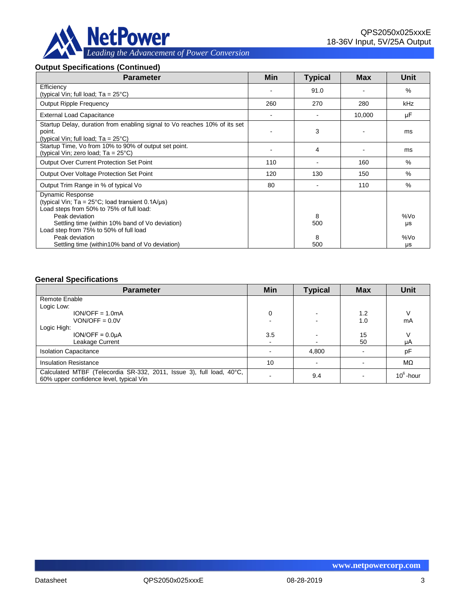

#### **Output Specifications (Continued)**

| <b>Parameter</b>                                                                                                                                                                                                                                        | Min | <b>Typical</b> | <b>Max</b> | Unit      |
|---------------------------------------------------------------------------------------------------------------------------------------------------------------------------------------------------------------------------------------------------------|-----|----------------|------------|-----------|
| Efficiency<br>(typical Vin; full load; $Ta = 25^{\circ}C$ )                                                                                                                                                                                             |     | 91.0           |            | %         |
| <b>Output Ripple Frequency</b>                                                                                                                                                                                                                          | 260 | 270            | 280        | kHz       |
| <b>External Load Capacitance</b>                                                                                                                                                                                                                        |     |                | 10,000     | μF        |
| Startup Delay, duration from enabling signal to Vo reaches 10% of its set<br>point.<br>(typical Vin; full load; Ta = 25°C)                                                                                                                              |     | 3              |            | ms        |
| Startup Time, Vo from 10% to 90% of output set point.<br>(typical Vin; zero load; $Ta = 25^{\circ}C$ )                                                                                                                                                  |     | 4              |            | ms        |
| Output Over Current Protection Set Point                                                                                                                                                                                                                | 110 |                | 160        | $\%$      |
| Output Over Voltage Protection Set Point                                                                                                                                                                                                                | 120 | 130            | 150        | $\%$      |
| Output Trim Range in % of typical Vo                                                                                                                                                                                                                    | 80  |                | 110        | $\%$      |
| <b>Dynamic Response</b><br>(typical Vin; $Ta = 25^{\circ}C$ ; load transient 0.1A/ $\mu s$ )<br>Load steps from 50% to 75% of full load:<br>Peak deviation<br>Settling time (within 10% band of Vo deviation)<br>Load step from 75% to 50% of full load |     | 8<br>500       |            | %Vo<br>μs |
| Peak deviation<br>Settling time (within 10% band of Vo deviation)                                                                                                                                                                                       |     | 8<br>500       |            | %Vo<br>μs |

#### **General Specifications**

| <b>Parameter</b>                                                                                                | Min                      | <b>Typical</b> | <b>Max</b> | <b>Unit</b>  |
|-----------------------------------------------------------------------------------------------------------------|--------------------------|----------------|------------|--------------|
| Remote Enable                                                                                                   |                          |                |            |              |
| Logic Low:                                                                                                      |                          |                |            |              |
| $ION/OFF = 1.0mA$                                                                                               | 0                        |                | 1.2        | V            |
| $VON/OFF = 0.0V$                                                                                                |                          |                | 1.0        | mA           |
| Logic High:                                                                                                     |                          |                |            |              |
| $ION/OFF = 0.0µA$                                                                                               | 3.5                      |                | 15         |              |
| Leakage Current                                                                                                 | $\overline{\phantom{a}}$ |                | 50         | μA           |
| <b>Isolation Capacitance</b>                                                                                    |                          | 4,800          |            | pF           |
| <b>Insulation Resistance</b>                                                                                    | 10                       |                |            | $M\Omega$    |
| Calculated MTBF (Telecordia SR-332, 2011, Issue 3), full load, 40°C,<br>60% upper confidence level, typical Vin |                          | 9.4            |            | $10^6$ -hour |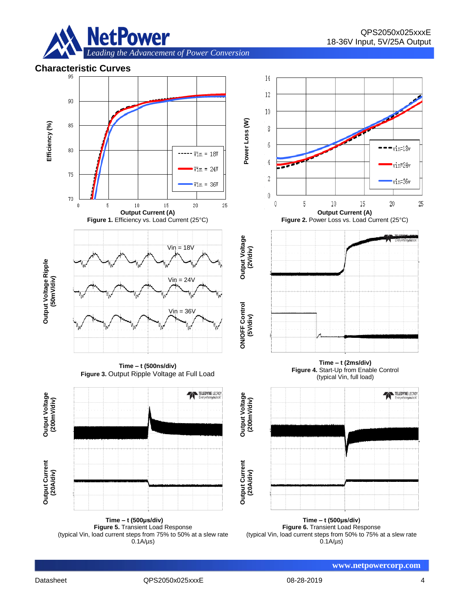



**Time – t (500μs/div) Figure 5.** Transient Load Response (typical Vin, load current steps from 75% to 50% at a slew rate  $0.1A/\mu s$ 

**Time – t (500μs/div) Figure 6.** Transient Load Response (typical Vin, load current steps from 50% to 75% at a slew rate  $0.1A/\mu s$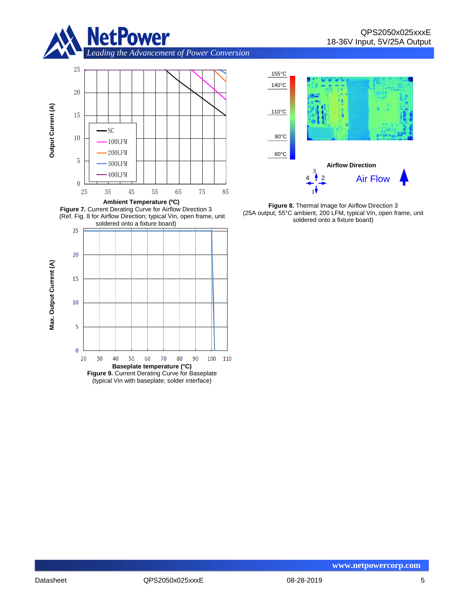

*Leading the Advancement of Power Conversion* 









**Figure 8.** Thermal Image for Airflow Direction 3 (25A output, 55°C ambient, 200 LFM, typical Vin, open frame, unit soldered onto a fixture board)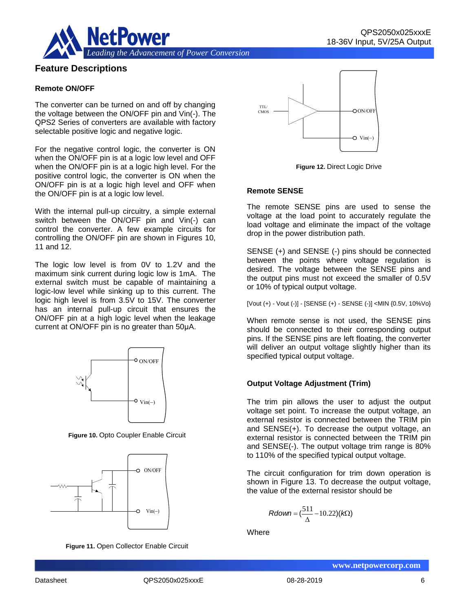

### **Feature Descriptions**

#### **Remote ON/OFF**

The converter can be turned on and off by changing the voltage between the ON/OFF pin and Vin(-). The QPS2 Series of converters are available with factory selectable positive logic and negative logic.

For the negative control logic, the converter is ON when the ON/OFF pin is at a logic low level and OFF when the ON/OFF pin is at a logic high level. For the positive control logic, the converter is ON when the ON/OFF pin is at a logic high level and OFF when the ON/OFF pin is at a logic low level.

With the internal pull-up circuitry, a simple external switch between the ON/OFF pin and Vin(-) can control the converter. A few example circuits for controlling the ON/OFF pin are shown in Figures 10, 11 and 12.

The logic low level is from 0V to 1.2V and the maximum sink current during logic low is 1mA. The external switch must be capable of maintaining a logic-low level while sinking up to this current. The logic high level is from 3.5V to 15V. The converter has an internal pull-up circuit that ensures the ON/OFF pin at a high logic level when the leakage current at ON/OFF pin is no greater than 50μA.



**Figure 10.** Opto Coupler Enable Circuit



**Figure 11.** Open Collector Enable Circuit



**Figure 12.** Direct Logic Drive

#### **Remote SENSE**

The remote SENSE pins are used to sense the voltage at the load point to accurately regulate the load voltage and eliminate the impact of the voltage drop in the power distribution path.

SENSE (+) and SENSE (-) pins should be connected between the points where voltage regulation is desired. The voltage between the SENSE pins and the output pins must not exceed the smaller of 0.5V or 10% of typical output voltage.

[Vout (+) - Vout (-)] - [SENSE (+) - SENSE (-)] <MIN {0.5V, 10%Vo}

When remote sense is not used, the SENSE pins should be connected to their corresponding output pins. If the SENSE pins are left floating, the converter will deliver an output voltage slightly higher than its specified typical output voltage.

#### **Output Voltage Adjustment (Trim)**

The trim pin allows the user to adjust the output voltage set point. To increase the output voltage, an external resistor is connected between the TRIM pin and SENSE(+). To decrease the output voltage, an external resistor is connected between the TRIM pin and SENSE(-). The output voltage trim range is 80% to 110% of the specified typical output voltage.

The circuit configuration for trim down operation is shown in Figure 13. To decrease the output voltage, the value of the external resistor should be

$$
Rdown = (\frac{511}{\Delta} - 10.22)(k\Omega)
$$

**Where**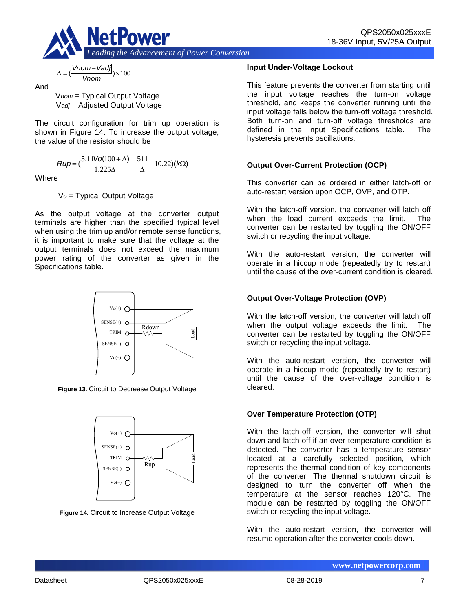

$$
\Delta = (\frac{|Vnom - Vadj|}{Vnom}) \times 100
$$

And

V*nom* = Typical Output Voltage V*adj* = Adjusted Output Voltage

The circuit configuration for trim up operation is shown in Figure 14. To increase the output voltage, the value of the resistor should be

$$
Rup = \left(\frac{5.11\text{Vol}(100 + \Delta)}{1.225\Delta} - \frac{511}{\Delta} - 10.22\right)(k\Omega)
$$

**Where** 

V*o* = Typical Output Voltage

As the output voltage at the converter output terminals are higher than the specified typical level when using the trim up and/or remote sense functions, it is important to make sure that the voltage at the output terminals does not exceed the maximum power rating of the converter as given in the Specifications table.



**Figure 13.** Circuit to Decrease Output Voltage



**Figure 14.** Circuit to Increase Output Voltage

#### **Input Under-Voltage Lockout**

This feature prevents the converter from starting until the input voltage reaches the turn-on voltage threshold, and keeps the converter running until the input voltage falls below the turn-off voltage threshold. Both turn-on and turn-off voltage thresholds are defined in the Input Specifications table. The hysteresis prevents oscillations.

# **Output Over-Current Protection (OCP)**

This converter can be ordered in either latch-off or auto-restart version upon OCP, OVP, and OTP.

With the latch-off version, the converter will latch off when the load current exceeds the limit. The converter can be restarted by toggling the ON/OFF switch or recycling the input voltage.

With the auto-restart version, the converter will operate in a hiccup mode (repeatedly try to restart) until the cause of the over-current condition is cleared.

# **Output Over-Voltage Protection (OVP)**

With the latch-off version, the converter will latch off when the output voltage exceeds the limit. The converter can be restarted by toggling the ON/OFF switch or recycling the input voltage.

With the auto-restart version, the converter will operate in a hiccup mode (repeatedly try to restart) until the cause of the over-voltage condition is cleared.

### **Over Temperature Protection (OTP)**

With the latch-off version, the converter will shut down and latch off if an over-temperature condition is detected. The converter has a temperature sensor located at a carefully selected position, which represents the thermal condition of key components of the converter. The thermal shutdown circuit is designed to turn the converter off when the temperature at the sensor reaches 120°C. The module can be restarted by toggling the ON/OFF switch or recycling the input voltage.

With the auto-restart version, the converter will resume operation after the converter cools down.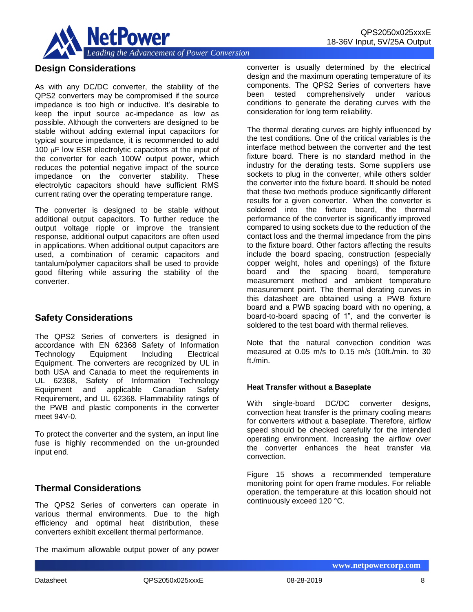

# **Design Considerations**

As with any DC/DC converter, the stability of the QPS2 converters may be compromised if the source impedance is too high or inductive. It's desirable to keep the input source ac-impedance as low as possible. Although the converters are designed to be stable without adding external input capacitors for typical source impedance, it is recommended to add 100  $\mu$ F low ESR electrolytic capacitors at the input of the converter for each 100W output power, which reduces the potential negative impact of the source impedance on the converter stability. These electrolytic capacitors should have sufficient RMS current rating over the operating temperature range.

The converter is designed to be stable without additional output capacitors. To further reduce the output voltage ripple or improve the transient response, additional output capacitors are often used in applications. When additional output capacitors are used, a combination of ceramic capacitors and tantalum/polymer capacitors shall be used to provide good filtering while assuring the stability of the converter.

### **Safety Considerations**

The QPS2 Series of converters is designed in accordance with EN 62368 Safety of Information Technology Equipment Including Electrical Equipment. The converters are recognized by UL in both USA and Canada to meet the requirements in UL 62368, Safety of Information Technology Equipment and applicable Canadian Safety Requirement, and UL 62368. Flammability ratings of the PWB and plastic components in the converter meet 94V-0.

To protect the converter and the system, an input line fuse is highly recommended on the un-grounded input end.

### **Thermal Considerations**

The QPS2 Series of converters can operate in various thermal environments. Due to the high efficiency and optimal heat distribution, these converters exhibit excellent thermal performance.

The maximum allowable output power of any power

converter is usually determined by the electrical design and the maximum operating temperature of its components. The QPS2 Series of converters have been tested comprehensively under various conditions to generate the derating curves with the consideration for long term reliability.

The thermal derating curves are highly influenced by the test conditions. One of the critical variables is the interface method between the converter and the test fixture board. There is no standard method in the industry for the derating tests. Some suppliers use sockets to plug in the converter, while others solder the converter into the fixture board. It should be noted that these two methods produce significantly different results for a given converter. When the converter is soldered into the fixture board, the thermal performance of the converter is significantly improved compared to using sockets due to the reduction of the contact loss and the thermal impedance from the pins to the fixture board. Other factors affecting the results include the board spacing, construction (especially copper weight, holes and openings) of the fixture board and the spacing board, temperature measurement method and ambient temperature measurement point. The thermal derating curves in this datasheet are obtained using a PWB fixture board and a PWB spacing board with no opening, a board-to-board spacing of 1", and the converter is soldered to the test board with thermal relieves.

Note that the natural convection condition was measured at 0.05 m/s to 0.15 m/s (10ft./min. to 30 ft./min.

#### **Heat Transfer without a Baseplate**

With single-board DC/DC converter designs, convection heat transfer is the primary cooling means for converters without a baseplate. Therefore, airflow speed should be checked carefully for the intended operating environment. Increasing the airflow over the converter enhances the heat transfer via convection.

Figure 15 shows a recommended temperature monitoring point for open frame modules. For reliable operation, the temperature at this location should not continuously exceed 120 °C.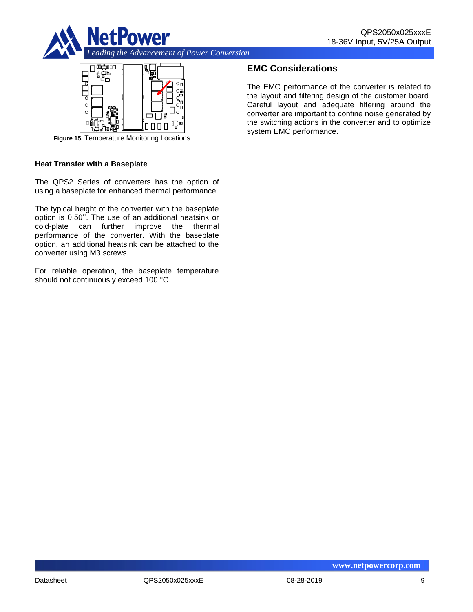



**Figure 15.** Temperature Monitoring Locations

#### **Heat Transfer with a Baseplate**

The QPS2 Series of converters has the option of using a baseplate for enhanced thermal performance.

The typical height of the converter with the baseplate option is 0.50''. The use of an additional heatsink or cold-plate can further improve the thermal performance of the converter. With the baseplate option, an additional heatsink can be attached to the converter using M3 screws.

For reliable operation, the baseplate temperature should not continuously exceed 100 °C.

# **EMC Considerations**

The EMC performance of the converter is related to the layout and filtering design of the customer board. Careful layout and adequate filtering around the converter are important to confine noise generated by the switching actions in the converter and to optimize system EMC performance.